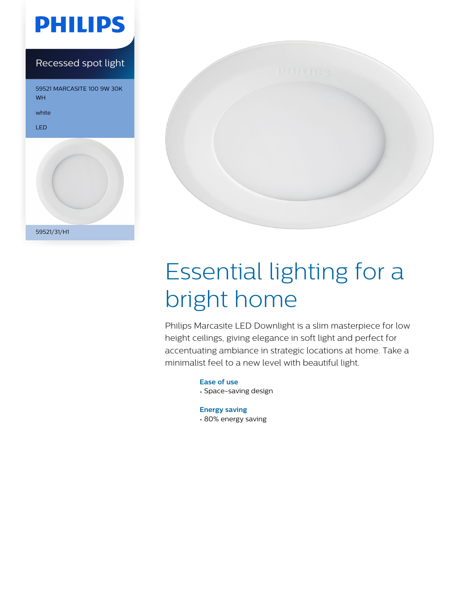





# Essential lighting for a bright home

Philips Marcasite LED Downlight is a slim masterpiece for low height ceilings, giving elegance in soft light and perfect for accentuating ambiance in strategic locations at home. Take a minimalist feel to a new level with beautiful light.

> **Ease of use** • Space-saving design

**Energy saving** • 80% energy saving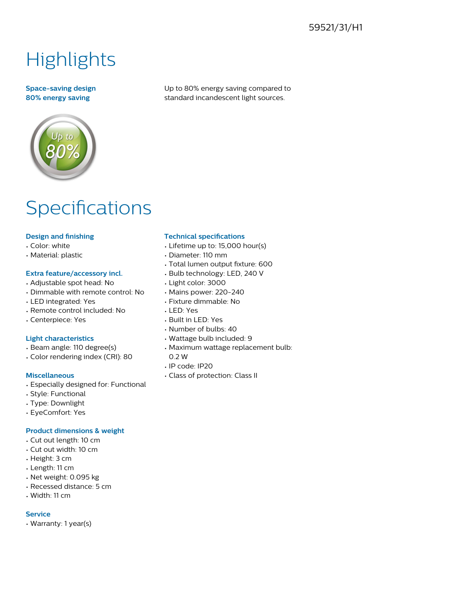### 59521/31/H1

## **Highlights**

#### **Space-saving design 80% energy saving**

Up to 80% energy saving compared to standard incandescent light sources.

### Specifications

#### **Design and finishing**

- Color: white
- Material: plastic

#### **Extra feature/accessory incl.**

- Adjustable spot head: No
- Dimmable with remote control: No
- LED integrated: Yes
- Remote control included: No
- Centerpiece: Yes

#### **Light characteristics**

- Beam angle: 110 degree(s)
- Color rendering index (CRI): 80

#### **Miscellaneous**

- Especially designed for: Functional
- Style: Functional
- Type: Downlight
- EyeComfort: Yes

#### **Product dimensions & weight**

- Cut out length: 10 cm
- Cut out width: 10 cm
- Height: 3 cm
- Length: 11 cm
- Net weight: 0.095 kg
- Recessed distance: 5 cm
- Width: 11 cm

#### **Service**

• Warranty: 1 year(s)

#### **Technical specifications**

- Lifetime up to: 15,000 hour(s)
- Diameter: 110 mm
- Total lumen output fixture: 600
- Bulb technology: LED, 240 V
- Light color: 3000
- Mains power: 220-240
- Fixture dimmable: No
- LED: Yes
- Built in LED: Yes
- Number of bulbs: 40
- Wattage bulb included: 9
- Maximum wattage replacement bulb: 0.2 W
- IP code: IP20
- Class of protection: Class II